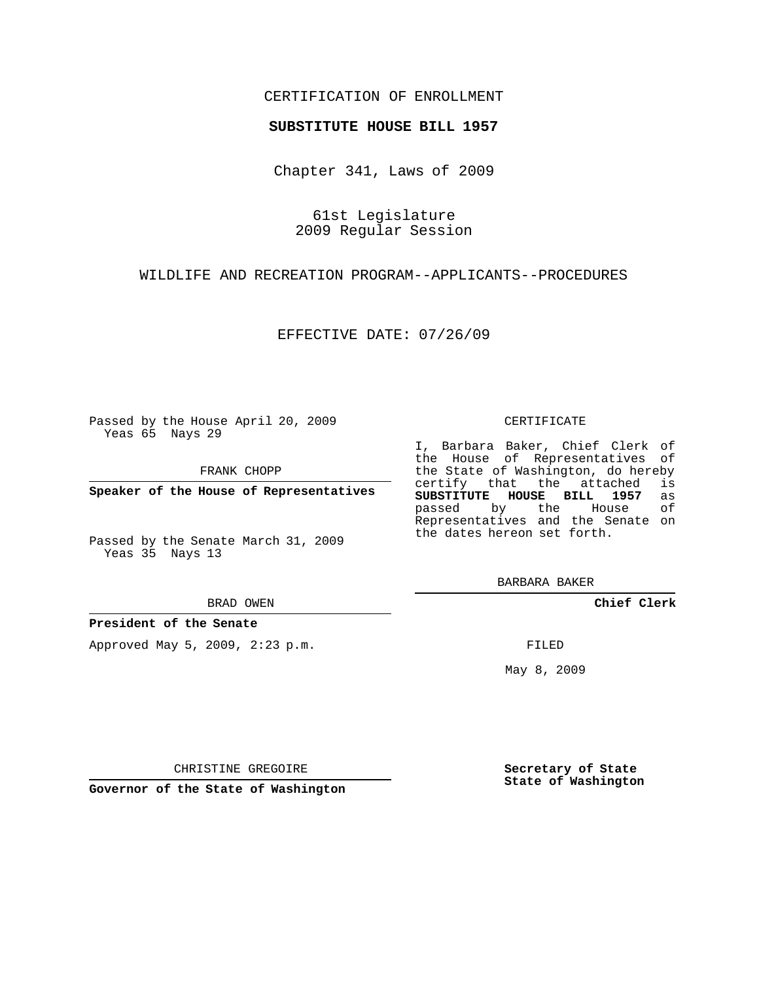## CERTIFICATION OF ENROLLMENT

### **SUBSTITUTE HOUSE BILL 1957**

Chapter 341, Laws of 2009

61st Legislature 2009 Regular Session

WILDLIFE AND RECREATION PROGRAM--APPLICANTS--PROCEDURES

EFFECTIVE DATE: 07/26/09

Passed by the House April 20, 2009 Yeas 65 Nays 29

FRANK CHOPP

**Speaker of the House of Representatives**

Passed by the Senate March 31, 2009 Yeas 35 Nays 13

#### BRAD OWEN

### **President of the Senate**

Approved May 5, 2009, 2:23 p.m.

#### CERTIFICATE

I, Barbara Baker, Chief Clerk of the House of Representatives of the State of Washington, do hereby<br>certify that the attached is certify that the attached **SUBSTITUTE HOUSE BILL 1957** as passed by the House of Representatives and the Senate on the dates hereon set forth.

BARBARA BAKER

**Chief Clerk**

FILED

May 8, 2009

**Secretary of State State of Washington**

CHRISTINE GREGOIRE

**Governor of the State of Washington**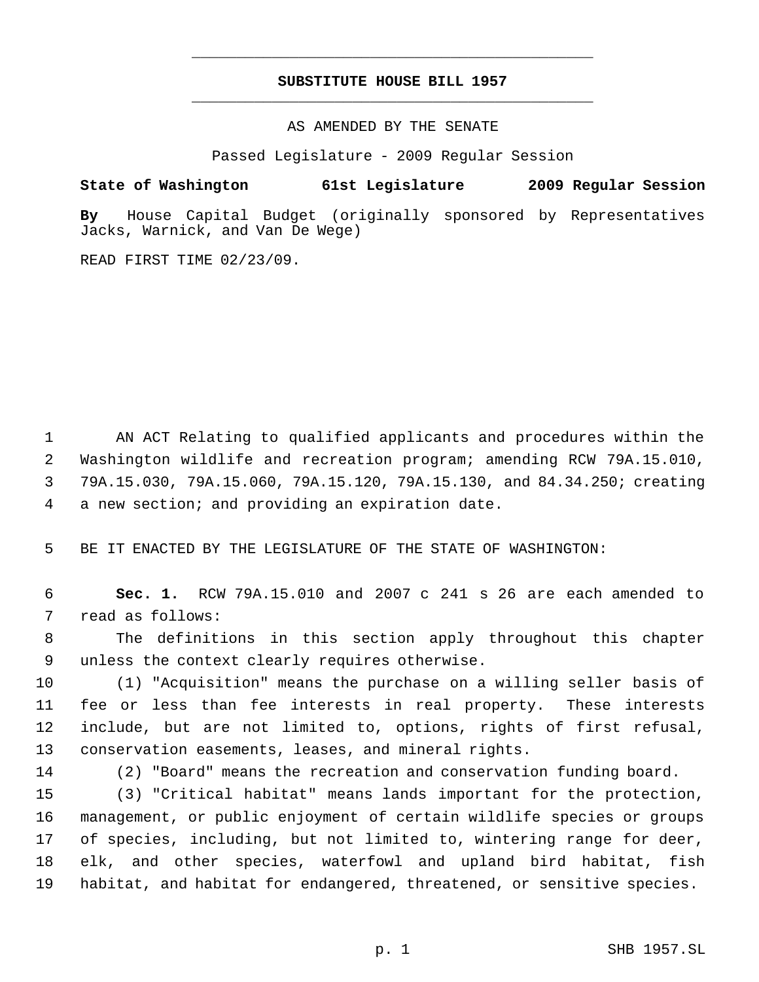# **SUBSTITUTE HOUSE BILL 1957** \_\_\_\_\_\_\_\_\_\_\_\_\_\_\_\_\_\_\_\_\_\_\_\_\_\_\_\_\_\_\_\_\_\_\_\_\_\_\_\_\_\_\_\_\_

\_\_\_\_\_\_\_\_\_\_\_\_\_\_\_\_\_\_\_\_\_\_\_\_\_\_\_\_\_\_\_\_\_\_\_\_\_\_\_\_\_\_\_\_\_

AS AMENDED BY THE SENATE

Passed Legislature - 2009 Regular Session

## **State of Washington 61st Legislature 2009 Regular Session**

**By** House Capital Budget (originally sponsored by Representatives Jacks, Warnick, and Van De Wege)

READ FIRST TIME 02/23/09.

 AN ACT Relating to qualified applicants and procedures within the Washington wildlife and recreation program; amending RCW 79A.15.010, 79A.15.030, 79A.15.060, 79A.15.120, 79A.15.130, and 84.34.250; creating a new section; and providing an expiration date.

BE IT ENACTED BY THE LEGISLATURE OF THE STATE OF WASHINGTON:

 **Sec. 1.** RCW 79A.15.010 and 2007 c 241 s 26 are each amended to read as follows:

 The definitions in this section apply throughout this chapter unless the context clearly requires otherwise.

 (1) "Acquisition" means the purchase on a willing seller basis of fee or less than fee interests in real property. These interests include, but are not limited to, options, rights of first refusal, conservation easements, leases, and mineral rights.

(2) "Board" means the recreation and conservation funding board.

 (3) "Critical habitat" means lands important for the protection, management, or public enjoyment of certain wildlife species or groups of species, including, but not limited to, wintering range for deer, elk, and other species, waterfowl and upland bird habitat, fish habitat, and habitat for endangered, threatened, or sensitive species.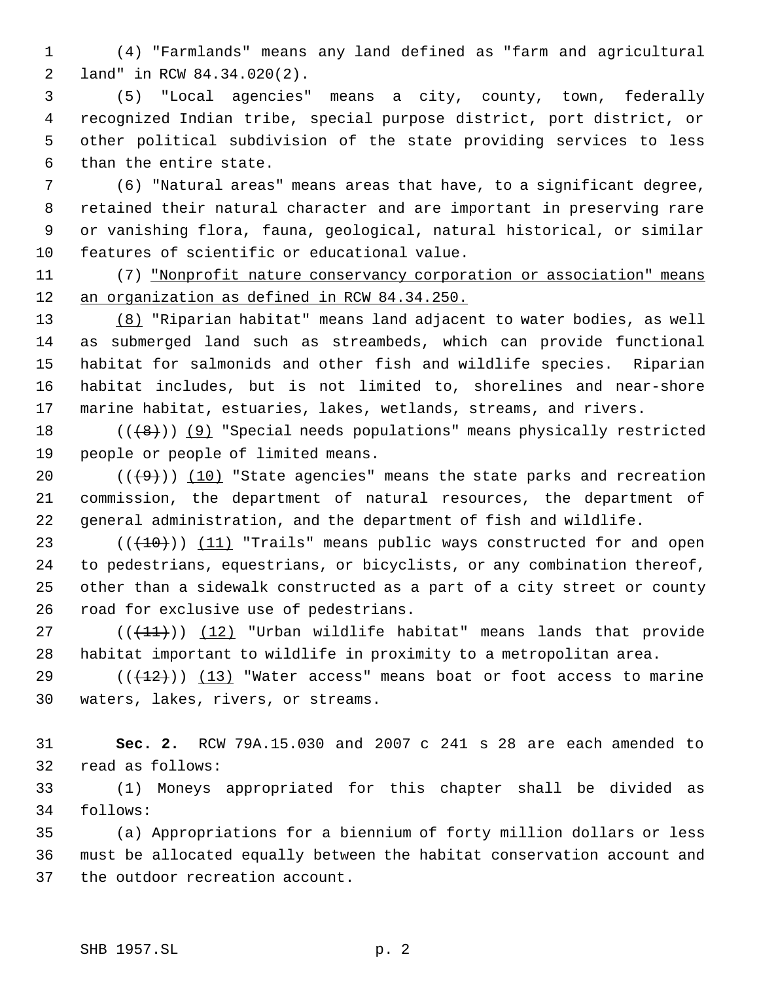(4) "Farmlands" means any land defined as "farm and agricultural land" in RCW 84.34.020(2).

 (5) "Local agencies" means a city, county, town, federally recognized Indian tribe, special purpose district, port district, or other political subdivision of the state providing services to less than the entire state.

 (6) "Natural areas" means areas that have, to a significant degree, retained their natural character and are important in preserving rare or vanishing flora, fauna, geological, natural historical, or similar features of scientific or educational value.

 (7) "Nonprofit nature conservancy corporation or association" means an organization as defined in RCW 84.34.250.

 (8) "Riparian habitat" means land adjacent to water bodies, as well as submerged land such as streambeds, which can provide functional habitat for salmonids and other fish and wildlife species. Riparian habitat includes, but is not limited to, shorelines and near-shore marine habitat, estuaries, lakes, wetlands, streams, and rivers.

18  $((+8))$  (9) "Special needs populations" means physically restricted people or people of limited means.

 $((+9))$  (10) "State agencies" means the state parks and recreation commission, the department of natural resources, the department of general administration, and the department of fish and wildlife.

 $((+10))$   $(11)$  "Trails" means public ways constructed for and open to pedestrians, equestrians, or bicyclists, or any combination thereof, other than a sidewalk constructed as a part of a city street or county road for exclusive use of pedestrians.

27  $((+11))$   $(12)$  "Urban wildlife habitat" means lands that provide habitat important to wildlife in proximity to a metropolitan area.

29  $((+12))$   $(13)$  "Water access" means boat or foot access to marine waters, lakes, rivers, or streams.

 **Sec. 2.** RCW 79A.15.030 and 2007 c 241 s 28 are each amended to read as follows:

 (1) Moneys appropriated for this chapter shall be divided as follows:

 (a) Appropriations for a biennium of forty million dollars or less must be allocated equally between the habitat conservation account and the outdoor recreation account.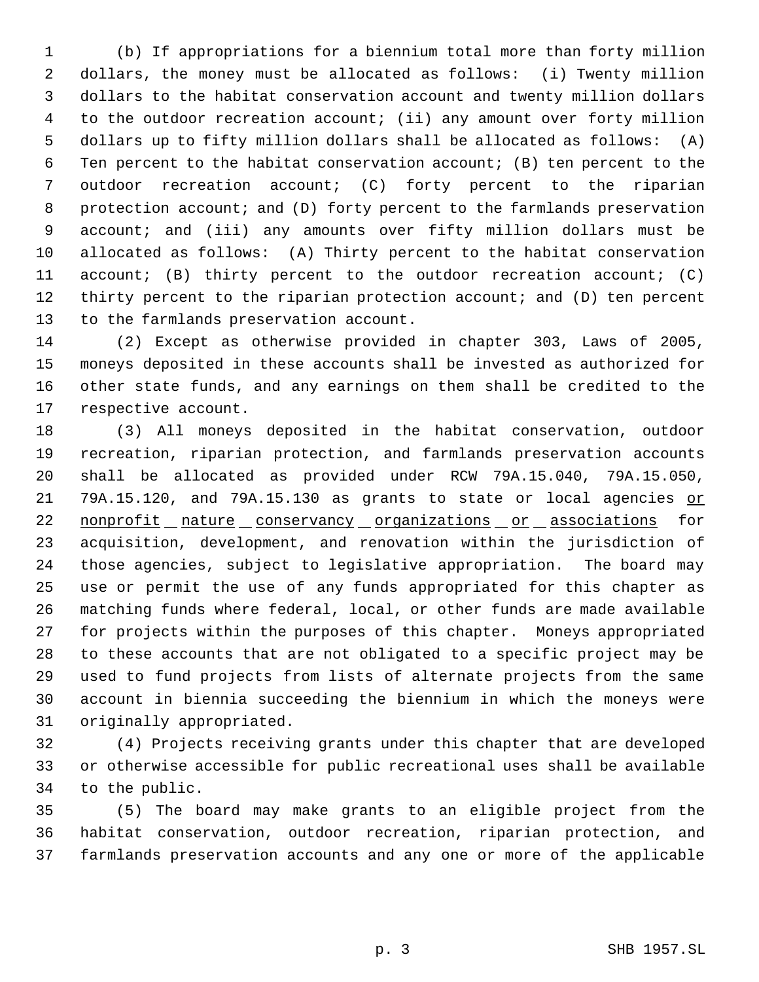(b) If appropriations for a biennium total more than forty million dollars, the money must be allocated as follows: (i) Twenty million dollars to the habitat conservation account and twenty million dollars to the outdoor recreation account; (ii) any amount over forty million dollars up to fifty million dollars shall be allocated as follows: (A) Ten percent to the habitat conservation account; (B) ten percent to the outdoor recreation account; (C) forty percent to the riparian 8 protection account; and (D) forty percent to the farmlands preservation 9 account; and (iii) any amounts over fifty million dollars must be allocated as follows: (A) Thirty percent to the habitat conservation account; (B) thirty percent to the outdoor recreation account; (C) thirty percent to the riparian protection account; and (D) ten percent to the farmlands preservation account.

 (2) Except as otherwise provided in chapter 303, Laws of 2005, moneys deposited in these accounts shall be invested as authorized for other state funds, and any earnings on them shall be credited to the respective account.

 (3) All moneys deposited in the habitat conservation, outdoor recreation, riparian protection, and farmlands preservation accounts shall be allocated as provided under RCW 79A.15.040, 79A.15.050, 21 79A.15.120, and 79A.15.130 as grants to state or local agencies or 22 nonprofit nature conservancy organizations or associations for acquisition, development, and renovation within the jurisdiction of those agencies, subject to legislative appropriation. The board may use or permit the use of any funds appropriated for this chapter as matching funds where federal, local, or other funds are made available for projects within the purposes of this chapter. Moneys appropriated to these accounts that are not obligated to a specific project may be used to fund projects from lists of alternate projects from the same account in biennia succeeding the biennium in which the moneys were originally appropriated.

 (4) Projects receiving grants under this chapter that are developed or otherwise accessible for public recreational uses shall be available to the public.

 (5) The board may make grants to an eligible project from the habitat conservation, outdoor recreation, riparian protection, and farmlands preservation accounts and any one or more of the applicable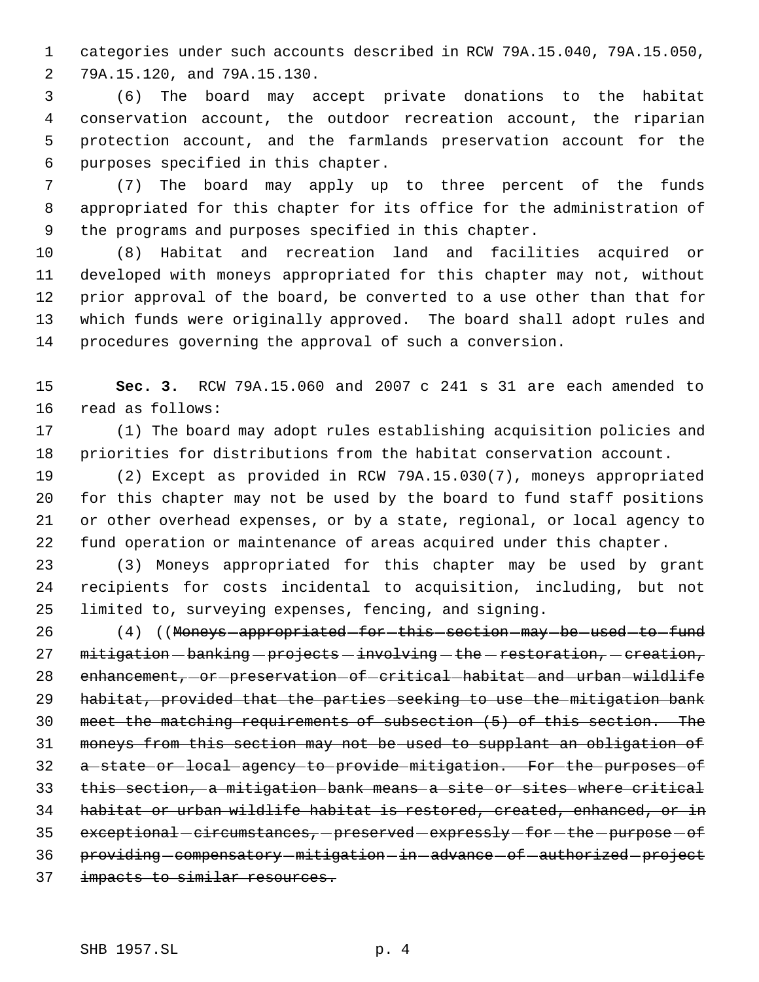categories under such accounts described in RCW 79A.15.040, 79A.15.050, 79A.15.120, and 79A.15.130.

 (6) The board may accept private donations to the habitat conservation account, the outdoor recreation account, the riparian protection account, and the farmlands preservation account for the purposes specified in this chapter.

 (7) The board may apply up to three percent of the funds appropriated for this chapter for its office for the administration of the programs and purposes specified in this chapter.

 (8) Habitat and recreation land and facilities acquired or developed with moneys appropriated for this chapter may not, without prior approval of the board, be converted to a use other than that for which funds were originally approved. The board shall adopt rules and procedures governing the approval of such a conversion.

 **Sec. 3.** RCW 79A.15.060 and 2007 c 241 s 31 are each amended to read as follows:

 (1) The board may adopt rules establishing acquisition policies and priorities for distributions from the habitat conservation account.

 (2) Except as provided in RCW 79A.15.030(7), moneys appropriated for this chapter may not be used by the board to fund staff positions or other overhead expenses, or by a state, regional, or local agency to fund operation or maintenance of areas acquired under this chapter.

 (3) Moneys appropriated for this chapter may be used by grant recipients for costs incidental to acquisition, including, but not limited to, surveying expenses, fencing, and signing.

26 (4) ((Moneys appropriated for this section may be used to fund  $mittigation - banking - projects - involving - the - restoration, - creation,$ 28 enhancement, or preservation of critical habitat and urban wildlife habitat, provided that the parties seeking to use the mitigation bank meet the matching requirements of subsection (5) of this section. The moneys from this section may not be used to supplant an obligation of a state or local agency to provide mitigation. For the purposes of this section, a mitigation bank means a site or sites where critical habitat or urban wildlife habitat is restored, created, enhanced, or in 35 exceptional - circumstances, - preserved - expressly - for - the - purpose - of 36 providing-compensatory-mitigation-in-advance-of-authorized-project 37 impacts to similar resources.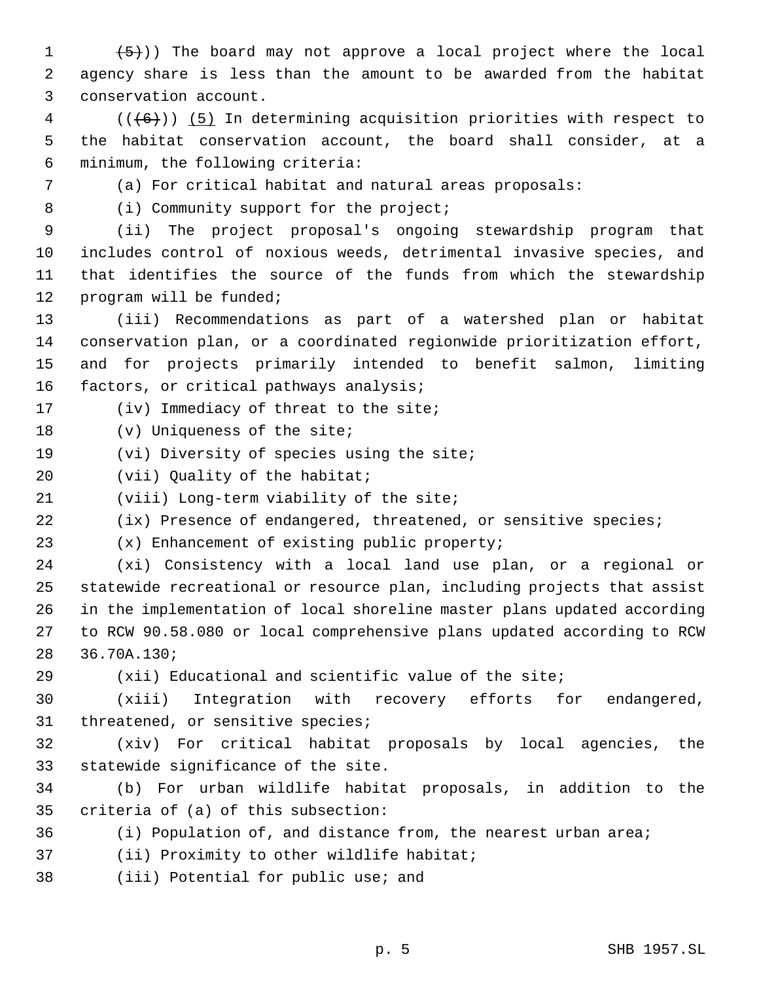$(5+)$ ) The board may not approve a local project where the local agency share is less than the amount to be awarded from the habitat conservation account.

 (( $(6+)$ )) (5) In determining acquisition priorities with respect to the habitat conservation account, the board shall consider, at a minimum, the following criteria:

(a) For critical habitat and natural areas proposals:

8 (i) Community support for the project;

 (ii) The project proposal's ongoing stewardship program that includes control of noxious weeds, detrimental invasive species, and that identifies the source of the funds from which the stewardship program will be funded;

 (iii) Recommendations as part of a watershed plan or habitat conservation plan, or a coordinated regionwide prioritization effort, and for projects primarily intended to benefit salmon, limiting factors, or critical pathways analysis;

(iv) Immediacy of threat to the site;

- (v) Uniqueness of the site;
- 19 (vi) Diversity of species using the site;

20 (vii) Quality of the habitat;

(viii) Long-term viability of the site;

(ix) Presence of endangered, threatened, or sensitive species;

(x) Enhancement of existing public property;

 (xi) Consistency with a local land use plan, or a regional or statewide recreational or resource plan, including projects that assist in the implementation of local shoreline master plans updated according to RCW 90.58.080 or local comprehensive plans updated according to RCW 36.70A.130;

(xii) Educational and scientific value of the site;

 (xiii) Integration with recovery efforts for endangered, threatened, or sensitive species;

 (xiv) For critical habitat proposals by local agencies, the statewide significance of the site.

 (b) For urban wildlife habitat proposals, in addition to the criteria of (a) of this subsection:

- (i) Population of, and distance from, the nearest urban area;
- (ii) Proximity to other wildlife habitat;
- (iii) Potential for public use; and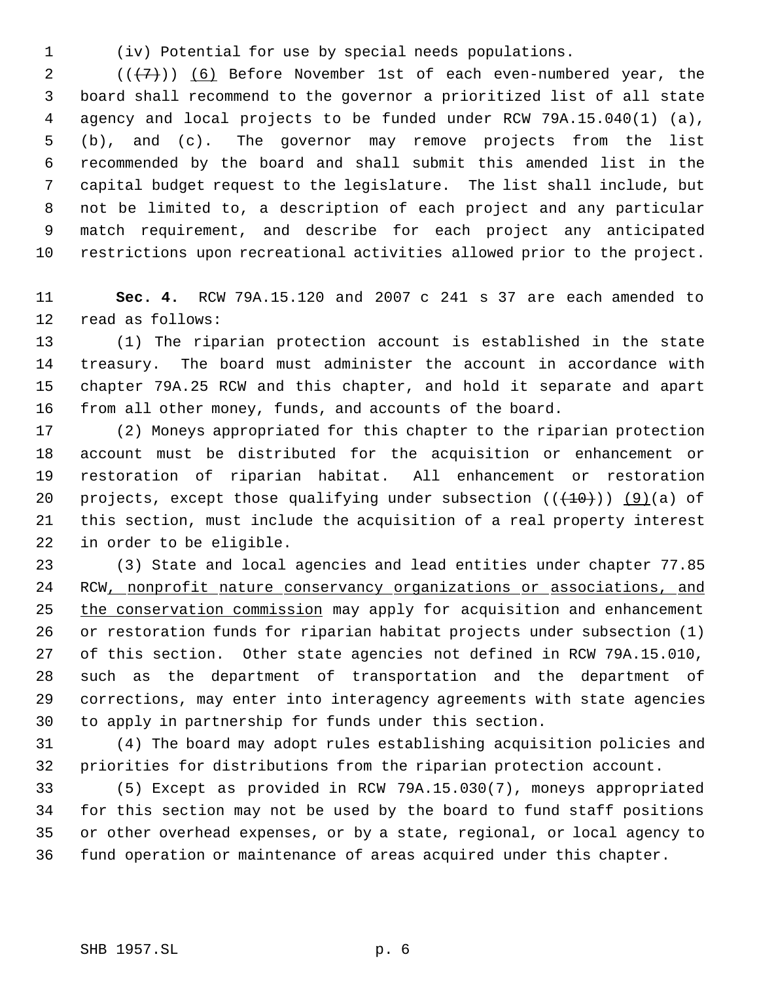(iv) Potential for use by special needs populations.

 $((+7))$   $(6)$  Before November 1st of each even-numbered year, the board shall recommend to the governor a prioritized list of all state agency and local projects to be funded under RCW 79A.15.040(1) (a), (b), and (c). The governor may remove projects from the list recommended by the board and shall submit this amended list in the capital budget request to the legislature. The list shall include, but not be limited to, a description of each project and any particular match requirement, and describe for each project any anticipated restrictions upon recreational activities allowed prior to the project.

 **Sec. 4.** RCW 79A.15.120 and 2007 c 241 s 37 are each amended to read as follows:

 (1) The riparian protection account is established in the state treasury. The board must administer the account in accordance with chapter 79A.25 RCW and this chapter, and hold it separate and apart from all other money, funds, and accounts of the board.

 (2) Moneys appropriated for this chapter to the riparian protection account must be distributed for the acquisition or enhancement or restoration of riparian habitat. All enhancement or restoration 20 projects, except those qualifying under subsection  $((+10))$   $(9)(a)$  of this section, must include the acquisition of a real property interest in order to be eligible.

 (3) State and local agencies and lead entities under chapter 77.85 24 RCW, nonprofit nature conservancy organizations or associations, and 25 the conservation commission may apply for acquisition and enhancement or restoration funds for riparian habitat projects under subsection (1) of this section. Other state agencies not defined in RCW 79A.15.010, such as the department of transportation and the department of corrections, may enter into interagency agreements with state agencies to apply in partnership for funds under this section.

 (4) The board may adopt rules establishing acquisition policies and priorities for distributions from the riparian protection account.

 (5) Except as provided in RCW 79A.15.030(7), moneys appropriated for this section may not be used by the board to fund staff positions or other overhead expenses, or by a state, regional, or local agency to fund operation or maintenance of areas acquired under this chapter.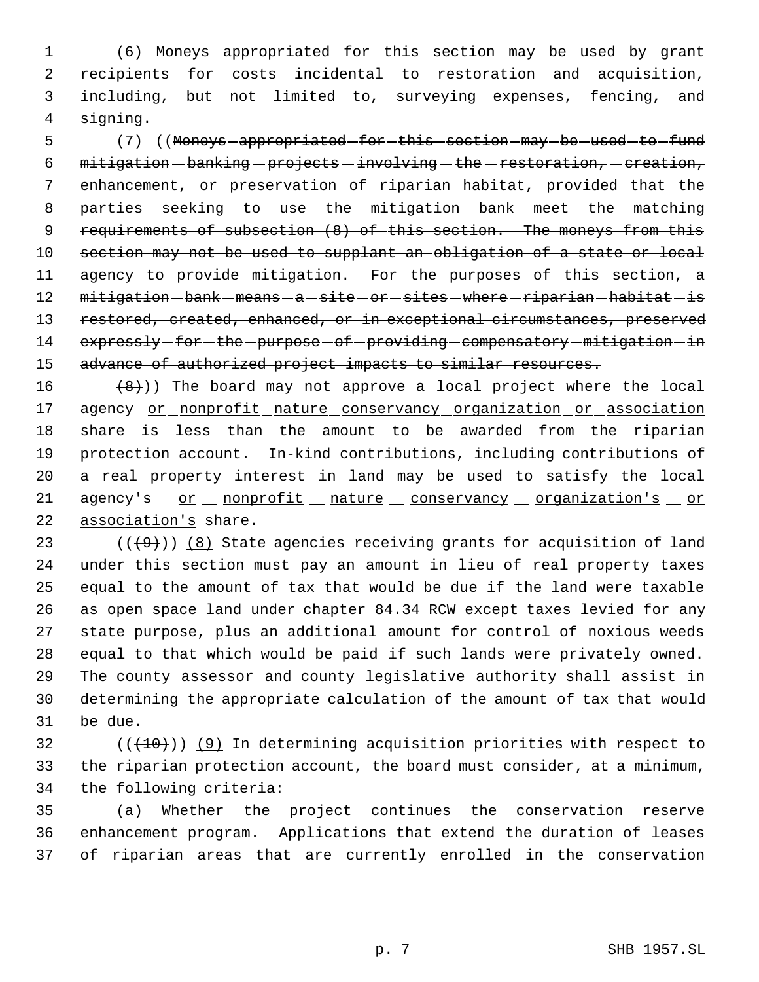(6) Moneys appropriated for this section may be used by grant recipients for costs incidental to restoration and acquisition, including, but not limited to, surveying expenses, fencing, and signing.

5 (7) ((Moneys appropriated for this section may be used to fund  $m$ itigation  $-banking$  -  $prepects$  -  $involving$  -  $the$  -  $restraction$ , -  $creation$ , 7 enhancement, or preservation of riparian habitat, provided that the 8 parties  $-$  seeking  $-$  to  $-$  use  $-$  the  $-$  mitigation  $-$  bank  $-$  meet  $-$  the  $-$  matching 9 requirements of subsection (8) of this section. The moneys from this section may not be used to supplant an obligation of a state or local 11 agency-to-provide-mitigation. For-the-purposes-of-this-section,-a 12 mitigation-bank-means-a-site-or-sites-where-riparian-habitat-is 13 restored, created, enhanced, or in exceptional circumstances, preserved 14 expressly-for-the-purpose-of-providing-compensatory-mitigation-in 15 advance of authorized project impacts to similar resources.

 $(8)$ )) The board may not approve a local project where the local 17 agency or nonprofit nature conservancy organization or association share is less than the amount to be awarded from the riparian protection account. In-kind contributions, including contributions of a real property interest in land may be used to satisfy the local 21 agency's or nonprofit nature conservancy organization's or association's share.

 $((+9))$   $(8)$  State agencies receiving grants for acquisition of land under this section must pay an amount in lieu of real property taxes equal to the amount of tax that would be due if the land were taxable as open space land under chapter 84.34 RCW except taxes levied for any state purpose, plus an additional amount for control of noxious weeds equal to that which would be paid if such lands were privately owned. The county assessor and county legislative authority shall assist in determining the appropriate calculation of the amount of tax that would be due.

 (( $(10)$ )) (9) In determining acquisition priorities with respect to the riparian protection account, the board must consider, at a minimum, the following criteria:

 (a) Whether the project continues the conservation reserve enhancement program. Applications that extend the duration of leases of riparian areas that are currently enrolled in the conservation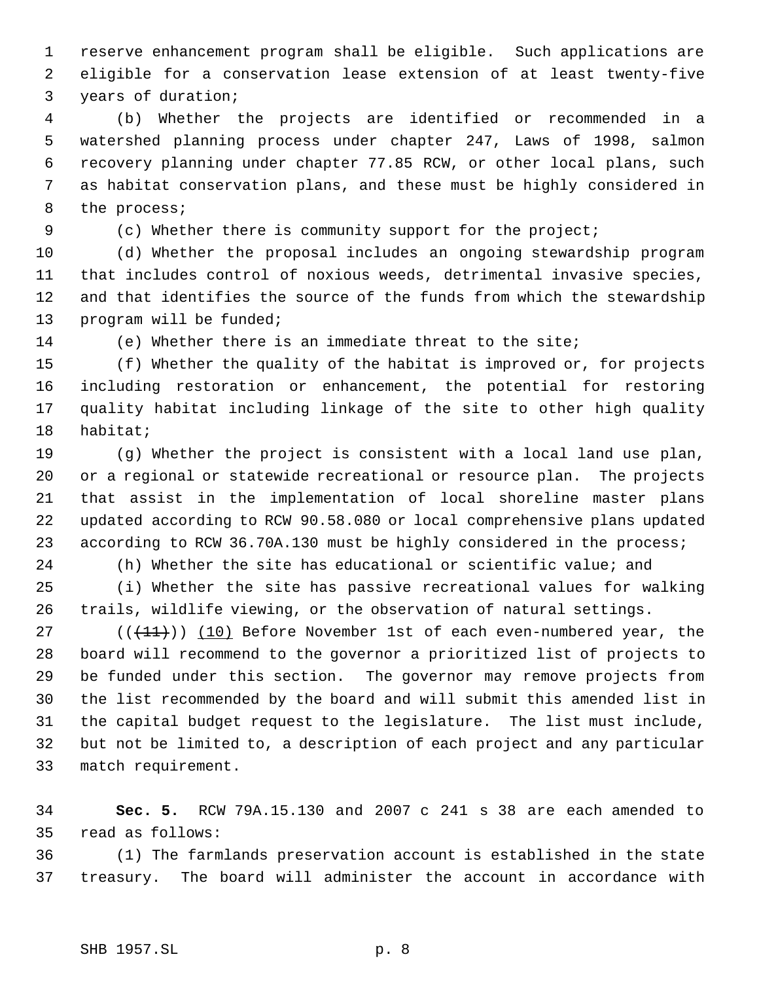reserve enhancement program shall be eligible. Such applications are eligible for a conservation lease extension of at least twenty-five years of duration;

 (b) Whether the projects are identified or recommended in a watershed planning process under chapter 247, Laws of 1998, salmon recovery planning under chapter 77.85 RCW, or other local plans, such as habitat conservation plans, and these must be highly considered in the process;

(c) Whether there is community support for the project;

 (d) Whether the proposal includes an ongoing stewardship program that includes control of noxious weeds, detrimental invasive species, and that identifies the source of the funds from which the stewardship program will be funded;

(e) Whether there is an immediate threat to the site;

 (f) Whether the quality of the habitat is improved or, for projects including restoration or enhancement, the potential for restoring quality habitat including linkage of the site to other high quality habitat;

 (g) Whether the project is consistent with a local land use plan, or a regional or statewide recreational or resource plan. The projects that assist in the implementation of local shoreline master plans updated according to RCW 90.58.080 or local comprehensive plans updated 23 according to RCW 36.70A.130 must be highly considered in the process;

(h) Whether the site has educational or scientific value; and

 (i) Whether the site has passive recreational values for walking trails, wildlife viewing, or the observation of natural settings.

 $((+11))$   $(10)$  Before November 1st of each even-numbered year, the board will recommend to the governor a prioritized list of projects to be funded under this section. The governor may remove projects from the list recommended by the board and will submit this amended list in the capital budget request to the legislature. The list must include, but not be limited to, a description of each project and any particular match requirement.

 **Sec. 5.** RCW 79A.15.130 and 2007 c 241 s 38 are each amended to read as follows:

 (1) The farmlands preservation account is established in the state treasury. The board will administer the account in accordance with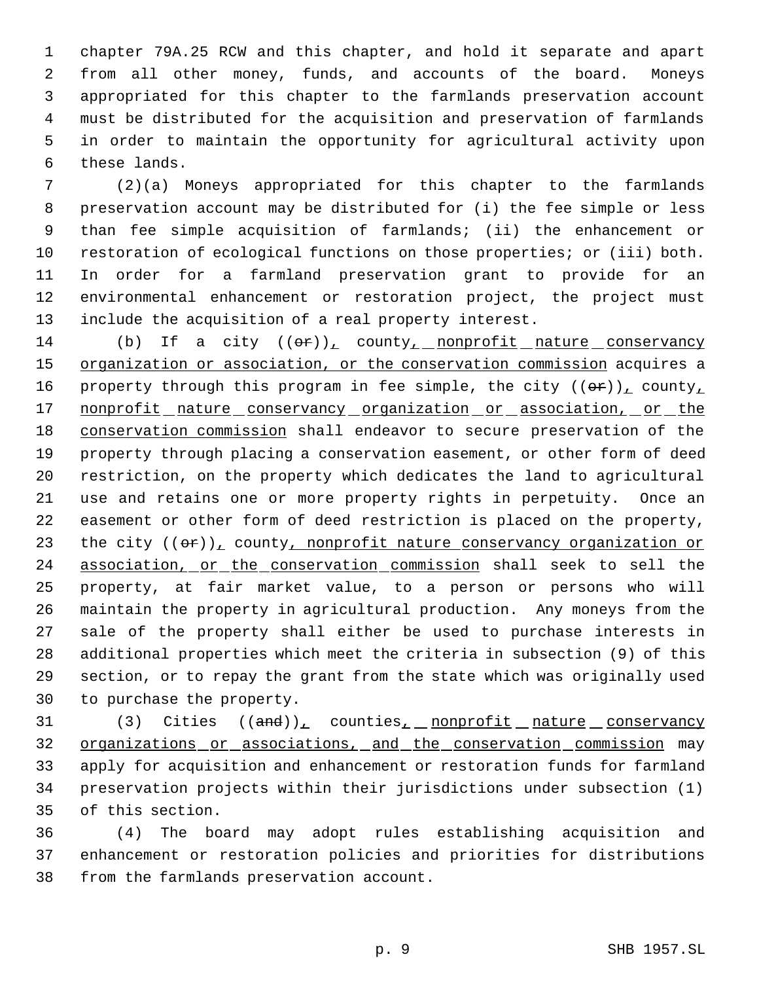chapter 79A.25 RCW and this chapter, and hold it separate and apart from all other money, funds, and accounts of the board. Moneys appropriated for this chapter to the farmlands preservation account must be distributed for the acquisition and preservation of farmlands in order to maintain the opportunity for agricultural activity upon these lands.

 (2)(a) Moneys appropriated for this chapter to the farmlands preservation account may be distributed for (i) the fee simple or less than fee simple acquisition of farmlands; (ii) the enhancement or restoration of ecological functions on those properties; or (iii) both. In order for a farmland preservation grant to provide for an environmental enhancement or restoration project, the project must include the acquisition of a real property interest.

14 (b) If a city  $((\theta \hat{r}))_+$  county<sub>-</sub> nonprofit nature conservancy organization or association, or the conservation commission acquires a 16 property through this program in fee simple, the city  $((\theta \cdot \mathbf{r}))$ , county, 17 nonprofit nature conservancy organization or association, or the conservation commission shall endeavor to secure preservation of the property through placing a conservation easement, or other form of deed restriction, on the property which dedicates the land to agricultural use and retains one or more property rights in perpetuity. Once an easement or other form of deed restriction is placed on the property, 23 the city  $((\theta \cdot r))_T$  county, nonprofit nature conservancy organization or 24 association, or the conservation commission shall seek to sell the property, at fair market value, to a person or persons who will maintain the property in agricultural production. Any moneys from the sale of the property shall either be used to purchase interests in additional properties which meet the criteria in subsection (9) of this section, or to repay the grant from the state which was originally used to purchase the property.

31 (3) Cities  $((and))_1$  counties<sub>1</sub> nonprofit nature conservancy 32 organizations or associations, and the conservation commission may apply for acquisition and enhancement or restoration funds for farmland preservation projects within their jurisdictions under subsection (1) of this section.

 (4) The board may adopt rules establishing acquisition and enhancement or restoration policies and priorities for distributions from the farmlands preservation account.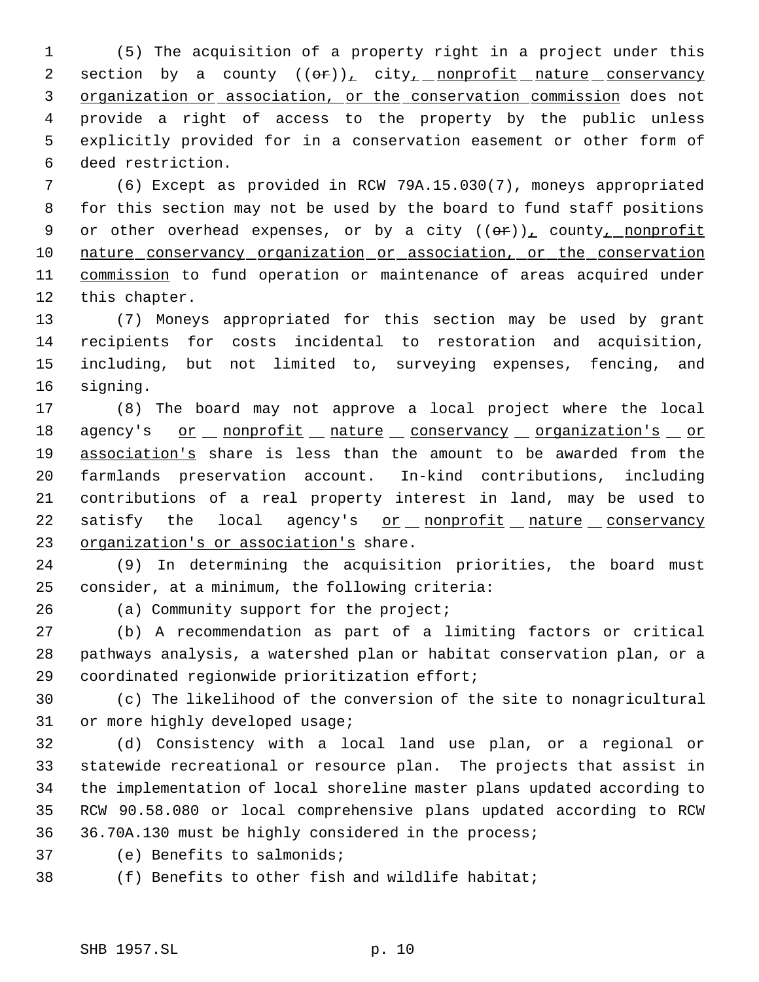(5) The acquisition of a property right in a project under this 2 section by a county  $((\theta \hat{r}))_L$  city<sub>*r*</sub> nonprofit nature conservancy 3 organization or association, or the conservation commission does not provide a right of access to the property by the public unless explicitly provided for in a conservation easement or other form of deed restriction.

 (6) Except as provided in RCW 79A.15.030(7), moneys appropriated for this section may not be used by the board to fund staff positions 9 or other overhead expenses, or by a city  $((\theta \cdot \tau))_+$  county, nonprofit 10 nature conservancy organization or association, or the conservation 11 commission to fund operation or maintenance of areas acquired under this chapter.

 (7) Moneys appropriated for this section may be used by grant recipients for costs incidental to restoration and acquisition, including, but not limited to, surveying expenses, fencing, and signing.

 (8) The board may not approve a local project where the local 18 agency's or nonprofit nature conservancy organization's or 19 association's share is less than the amount to be awarded from the farmlands preservation account. In-kind contributions, including contributions of a real property interest in land, may be used to 22 satisfy the local agency's or nonprofit nature conservancy 23 organization's or association's share.

 (9) In determining the acquisition priorities, the board must consider, at a minimum, the following criteria:

(a) Community support for the project;

 (b) A recommendation as part of a limiting factors or critical pathways analysis, a watershed plan or habitat conservation plan, or a coordinated regionwide prioritization effort;

 (c) The likelihood of the conversion of the site to nonagricultural or more highly developed usage;

 (d) Consistency with a local land use plan, or a regional or statewide recreational or resource plan. The projects that assist in the implementation of local shoreline master plans updated according to RCW 90.58.080 or local comprehensive plans updated according to RCW 36.70A.130 must be highly considered in the process;

(e) Benefits to salmonids;

(f) Benefits to other fish and wildlife habitat;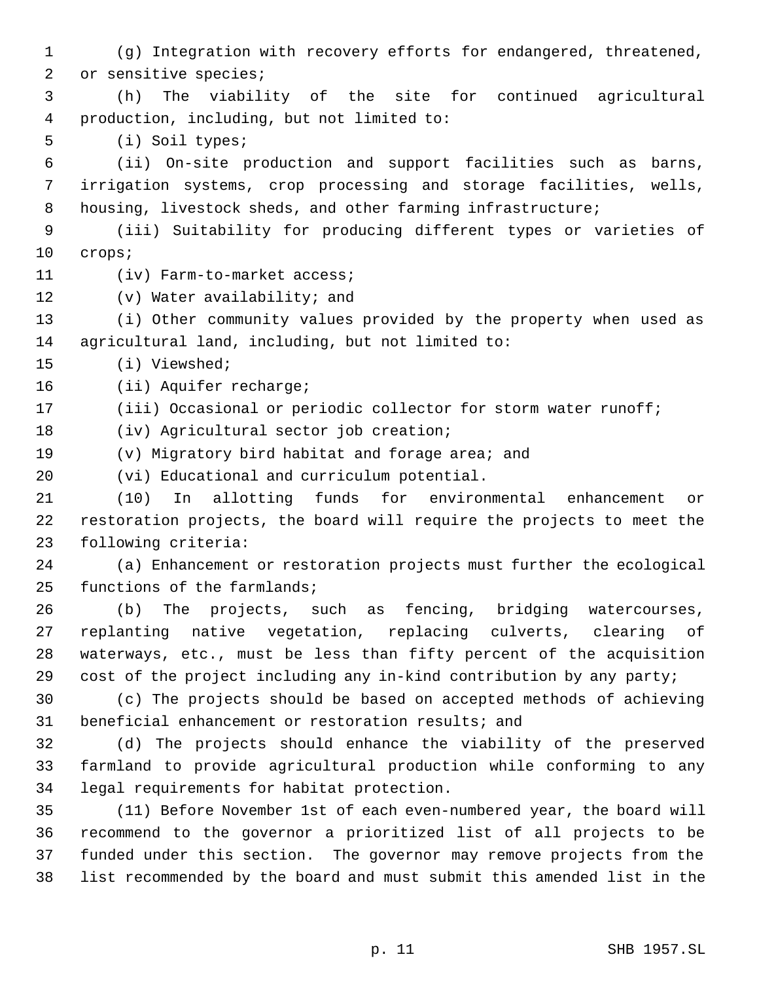(g) Integration with recovery efforts for endangered, threatened, or sensitive species;

 (h) The viability of the site for continued agricultural production, including, but not limited to:

(i) Soil types;

 (ii) On-site production and support facilities such as barns, irrigation systems, crop processing and storage facilities, wells, 8 housing, livestock sheds, and other farming infrastructure;

 (iii) Suitability for producing different types or varieties of crops;

(iv) Farm-to-market access;

(v) Water availability; and

 (i) Other community values provided by the property when used as agricultural land, including, but not limited to:

(i) Viewshed;

(ii) Aquifer recharge;

(iii) Occasional or periodic collector for storm water runoff;

(iv) Agricultural sector job creation;

(v) Migratory bird habitat and forage area; and

(vi) Educational and curriculum potential.

 (10) In allotting funds for environmental enhancement or restoration projects, the board will require the projects to meet the following criteria:

 (a) Enhancement or restoration projects must further the ecological functions of the farmlands;

 (b) The projects, such as fencing, bridging watercourses, replanting native vegetation, replacing culverts, clearing of waterways, etc., must be less than fifty percent of the acquisition cost of the project including any in-kind contribution by any party;

 (c) The projects should be based on accepted methods of achieving beneficial enhancement or restoration results; and

 (d) The projects should enhance the viability of the preserved farmland to provide agricultural production while conforming to any legal requirements for habitat protection.

 (11) Before November 1st of each even-numbered year, the board will recommend to the governor a prioritized list of all projects to be funded under this section. The governor may remove projects from the list recommended by the board and must submit this amended list in the